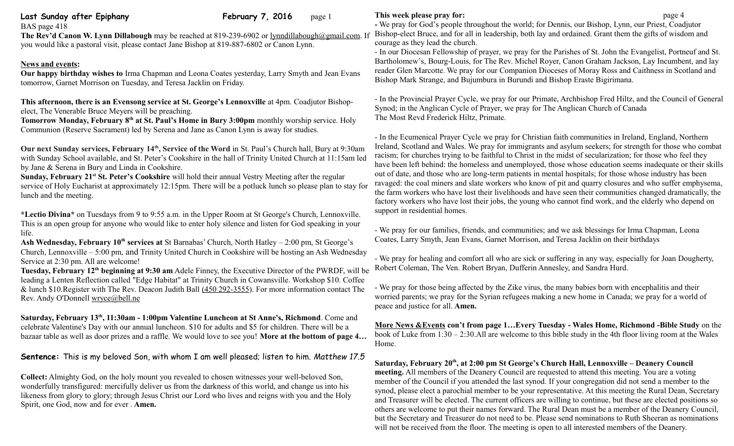### **Last Sunday after Epiphany February 7, 2016** page 1 BAS page 418

**The Rev'd Canon W. Lynn Dillabough** may be reached at 819-239-6902 or [lynndillabough@gmail.com.](mailto:lynndillabough@gmail.com) If you would like a pastoral visit, please contact Jane Bishop at 819-887-6802 or Canon Lynn.

# **News and events:**

**Our happy birthday wishes to** Irma Chapman and Leona Coates yesterday, Larry Smyth and Jean Evans tomorrow, Garnet Morrison on Tuesday, and Teresa Jacklin on Friday.

**This afternoon, there is an Evensong service at St. George's Lennoxville** at 4pm. Coadjutor Bishopelect, The Venerable Bruce Meyers will be preaching.

Tomorrow Monday, February 8<sup>th</sup> at St. Paul's Home in Bury 3:00pm monthly worship service. Holy Communion (Reserve Sacrament) led by Serena and Jane as Canon Lynn is away for studies.

**Our next Sunday services, February 14th, Service of the Word** in St. Paul's Church hall, Bury at 9:30am with Sunday School available, and St. Peter's Cookshire in the hall of Trinity United Church at 11:15am led by Jane & Serena in Bury and Linda in Cookshire.

**Sunday, February 21<sup>st</sup> St. Peter's Cookshire** will hold their annual Vestry Meeting after the regular service of Holy Eucharist at approximately 12:15pm. There will be a potluck lunch so please plan to stay for lunch and the meeting.

**\*Lectio Divina\*** on Tuesdays from 9 to 9:55 a.m. in the Upper Room at St George's Church, Lennoxville. This is an open group for anyone who would like to enter holy silence and listen for God speaking in your life.

**Ash Wednesday, February 10th services at** St Barnabas' Church, North Hatley – 2:00 pm, St George's Church, Lennoxville – 5:00 pm, and Trinity United Church in Cookshire will be hosting an Ash Wednesday Service at 2:30 pm. All are welcome!

**Tuesday, February 12th beginning at 9:30 am** Adele Finney, the Executive Director of the PWRDF, will be leading a Lenten Reflection called "Edge Habitat" at Trinity Church in Cowansville. Workshop \$10. Coffee & lunch \$10.Register with The Rev. Deacon Judith Ball [\(450 292-3555\)](tel:(450%20292-3555). For more information contact The Rev. Andy O'Donnell [wryce@bell.ne](mailto:wryce@bell.ne)

**Saturday, February 13th, 11:30am - 1:00pm Valentine Luncheon at St Anne's, Richmond**. Come and celebrate Valentine's Day with our annual luncheon. \$10 for adults and \$5 for children. There will be a bazaar table as well as door prizes and a raffle. We would love to see you! **More at the bottom of page 4…**

**Sentence:** This is my beloved Son, with whom I am well pleased; listen to him. *Matthew 17.5*

**Collect:** Almighty God, on the holy mount you revealed to chosen witnesses your well-beloved Son, wonderfully transfigured: mercifully deliver us from the darkness of this world, and change us into his likeness from glory to glory; through Jesus Christ our Lord who lives and reigns with you and the Holy Spirit, one God, now and for ever . **Amen.**

# **This week please pray for:**  $page 4$

**-** We pray for God's people throughout the world; for Dennis, our Bishop, Lynn, our Priest, Coadjutor Bishop-elect Bruce, and for all in leadership, both lay and ordained. Grant them the gifts of wisdom and courage as they lead the church.

- In our Diocesan Fellowship of prayer, we pray for the Parishes of St. John the Evangelist, Portneuf and St. Bartholomew's, Bourg-Louis, for The Rev. Michel Royer, Canon Graham Jackson, Lay Incumbent, and lay reader Glen Marcotte. We pray for our Companion Dioceses of Moray Ross and Caithness in Scotland and Bishop Mark Strange, and Bujumbura in Burundi and Bishop Eraste Bigirimana.

- In the Provincial Prayer Cycle, we pray for our Primate, Archbishop Fred Hiltz, and the Council of General Synod; in the Anglican Cycle of Prayer, we pray for The Anglican Church of Canada The Most Revd Frederick Hiltz, Primate.

- In the Ecumenical Prayer Cycle we pray for Christian faith communities in Ireland, England, Northern Ireland, Scotland and Wales. We pray for immigrants and asylum seekers; for strength for those who combat racism; for churches trying to be faithful to Christ in the midst of secularization; for those who feel they have been left behind: the homeless and unemployed, those whose education seems inadequate or their skills out of date, and those who are long-term patients in mental hospitals; for those whose industry has been ravaged: the coal miners and slate workers who know of pit and quarry closures and who suffer emphysema, the farm workers who have lost their livelihoods and have seen their communities changed dramatically, the factory workers who have lost their jobs, the young who cannot find work, and the elderly who depend on support in residential homes.

- We pray for our families, friends, and communities; and we ask blessings for Irma Chapman, Leona Coates, Larry Smyth, Jean Evans, Garnet Morrison, and Teresa Jacklin on their birthdays

- We pray for healing and comfort all who are sick or suffering in any way, especially for Joan Dougherty, Robert Coleman, The Ven. Robert Bryan, Dufferin Annesley, and Sandra Hurd.

- We pray for those being affected by the Zike virus, the many babies born with encephalitis and their worried parents; we pray for the Syrian refugees making a new home in Canada; we pray for a world of peace and justice for all. **Amen.**

 **More News &Events con't from page 1…Every Tuesday - Wales Home, Richmond -Bible Study** on the book of Luke from 1:30 – 2:30.All are welcome to this bible study in the 4th floor living room at the Wales Home.

**Saturday, February 20th, at 2:00 pm St George's Church Hall, Lennoxville – Deanery Council meeting.** All members of the Deanery Council are requested to attend this meeting. You are a voting member of the Council if you attended the last synod. If your congregation did not send a member to the synod, please elect a parochial member to be your representative. At this meeting the Rural Dean, Secretary and Treasurer will be elected. The current officers are willing to continue, but these are elected positions so others are welcome to put their names forward. The Rural Dean must be a member of the Deanery Council, but the Secretary and Treasurer do not need to be. Please send nominations to Ruth Sheeran as nominations will not be received from the floor. The meeting is open to all interested members of the Deanery.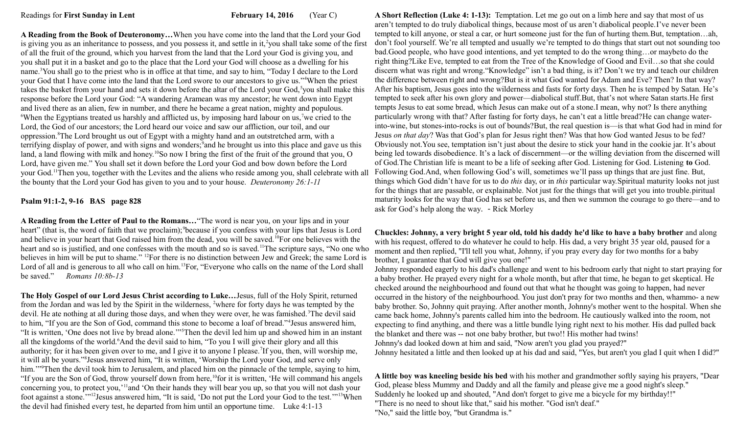Readings for **First Sunday in Lent February 14, 2016** (Year C)

**A Reading from the Book of Deuteronomy…**When you have come into the land that the Lord your God is giving you as an inheritance to possess, and you possess it, and settle in it,<sup>2</sup>you shall take some of the first of all the fruit of the ground, which you harvest from the land that the Lord your God is giving you, and you shall put it in a basket and go to the place that the Lord your God will choose as a dwelling for his name.<sup>3</sup>You shall go to the priest who is in office at that time, and say to him, "Today I declare to the Lord your God that I have come into the land that the Lord swore to our ancestors to give us."<sup>4</sup>When the priest takes the basket from your hand and sets it down before the altar of the Lord your God,<sup>5</sup>you shall make this response before the Lord your God: "A wandering Aramean was my ancestor; he went down into Egypt and lived there as an alien, few in number, and there he became a great nation, mighty and populous. <sup>6</sup>When the Egyptians treated us harshly and afflicted us, by imposing hard labour on us,<sup>7</sup>we cried to the Lord, the God of our ancestors; the Lord heard our voice and saw our affliction, our toil, and our oppression.<sup>8</sup>The Lord brought us out of Egypt with a mighty hand and an outstretched arm, with a terrifying display of power, and with signs and wonders; and he brought us into this place and gave us this land, a land flowing with milk and honey.<sup>10</sup>So now I bring the first of the fruit of the ground that you, O Lord, have given me." You shall set it down before the Lord your God and bow down before the Lord your God.<sup>11</sup>Then you, together with the Levites and the aliens who reside among you, shall celebrate with all the bounty that the Lord your God has given to you and to your house. *Deuteronomy 26:1-11*

## **Psalm 91:1-2, 9-16 BAS page 828**

**A Reading from the Letter of Paul to the Romans…**"The word is near you, on your lips and in your heart" (that is, the word of faith that we proclaim); <sup>9</sup>because if you confess with your lips that Jesus is Lord and believe in your heart that God raised him from the dead, you will be saved.<sup>10</sup>For one believes with the heart and so is justified, and one confesses with the mouth and so is saved.<sup>11</sup>The scripture says, "No one who believes in him will be put to shame." <sup>12</sup>For there is no distinction between Jew and Greek; the same Lord is Lord of all and is generous to all who call on him.<sup>13</sup>For, "Everyone who calls on the name of the Lord shall be saved." *Romans 10:8b-13* 

**The Holy Gospel of our Lord Jesus Christ according to Luke…**Jesus, full of the Holy Spirit, returned from the Jordan and was led by the Spirit in the wilderness, <sup>2</sup>where for forty days he was tempted by the devil. He ate nothing at all during those days, and when they were over, he was famished.<sup>3</sup>The devil said to him, "If you are the Son of God, command this stone to become a loaf of bread."<sup>4</sup> Jesus answered him, "It is written, 'One does not live by bread alone.'"<sup>5</sup>Then the devil led him up and showed him in an instant all the kingdoms of the world.<sup>6</sup>And the devil said to him, "To you I will give their glory and all this authority; for it has been given over to me, and I give it to anyone I please. If you, then, will worship me, it will all be yours."<sup>8</sup> Jesus answered him, "It is written, 'Worship the Lord your God, and serve only him.'"<sup>9</sup>Then the devil took him to Jerusalem, and placed him on the pinnacle of the temple, saying to him, "If you are the Son of God, throw yourself down from here,<sup>10</sup>for it is written, 'He will command his angels concerning you, to protect you,'<sup>11</sup>and 'On their hands they will bear you up, so that you will not dash your foot against a stone.'"<sup>12</sup>Jesus answered him, "It is said, 'Do not put the Lord your God to the test.'"<sup>13</sup>When the devil had finished every test, he departed from him until an opportune time. Luke 4:1-13

**A Short Reflection (Luke 4: 1-13):** Temptation. Let me go out on a limb here and say that most of us aren't tempted to do truly diabolical things, because most of us aren't diabolical people.I've never been tempted to kill anyone, or steal a car, or hurt someone just for the fun of hurting them.But, temptation…ah, don't fool yourself. We're all tempted and usually we're tempted to do things that start out not sounding too bad.Good people, who have good intentions, and yet tempted to do the wrong thing…or maybeto do the right thing?Like Eve, tempted to eat from the Tree of the Knowledge of Good and Evil…so that she could discern what was right and wrong."Knowledge" isn't a bad thing, is it? Don't we try and teach our children the difference between right and wrong?But is it what God wanted for Adam and Eve? Then? In that way? After his baptism, Jesus goes into the wilderness and fasts for forty days. Then he is temped by Satan. He's tempted to seek after his own glory and power—diabolical stuff.But, that's not where Satan starts.He first tempts Jesus to eat some bread, which Jesus can make out of a stone.I mean, why not? Is there anything particularly wrong with that? After fasting for forty days, he can't eat a little bread?He can change waterinto-wine, but stones-into-rocks is out of bounds?But, the real question is—is that what God had in mind for Jesus *on that day*? Was that God's plan for Jesus right then? Was that how God wanted Jesus to be fed? Obviously not.You see, temptation isn't just about the desire to stick your hand in the cookie jar. It's about being led towards disobedience. It's a lack of discernment—or the willing deviation from the discerned will of God.The Christian life is meant to be a life of seeking after God. Listening for God. Listening **to** God. Following God.And, when following God's will, sometimes we'll pass up things that are just fine. But, things which God didn't have for us to do *this* day, or in *this* particular way.Spiritual maturity looks not just for the things that are passable, or explainable. Not just for the things that will get you into trouble.piritual maturity looks for the way that God has set before us, and then we summon the courage to go there—and to ask for God's help along the way. - Rick Morley

## **Chuckles: Johnny, a very bright 5 year old, told his daddy he'd like to have a baby brother** and along with his request, offered to do whatever he could to help. His dad, a very bright 35 year old, paused for a moment and then replied, "I'll tell you what, Johnny, if you pray every day for two months for a baby brother, I guarantee that God will give you one!"

Johnny responded eagerly to his dad's challenge and went to his bedroom early that night to start praying for a baby brother. He prayed every night for a whole month, but after that time, he began to get skeptical. He checked around the neighbourhood and found out that what he thought was going to happen, had never occurred in the history of the neighbourhood. You just don't pray for two months and then, whammo- a new baby brother. So, Johnny quit praying. After another month, Johnny's mother went to the hospital. When she came back home, Johnny's parents called him into the bedroom. He cautiously walked into the room, not expecting to find anything, and there was a little bundle lying right next to his mother. His dad pulled back the blanket and there was -- not one baby brother, but two!! His mother had twins! Johnny's dad looked down at him and said, "Now aren't you glad you prayed?"

Johnny hesitated a little and then looked up at his dad and said, "Yes, but aren't you glad I quit when I did?"

**A little boy was kneeling beside his bed** with his mother and grandmother softly saying his prayers, "Dear God, please bless Mummy and Daddy and all the family and please give me a good night's sleep." Suddenly he looked up and shouted, "And don't forget to give me a bicycle for my birthday!!" "There is no need to shout like that," said his mother. "God isn't deaf." "No," said the little boy, "but Grandma is."